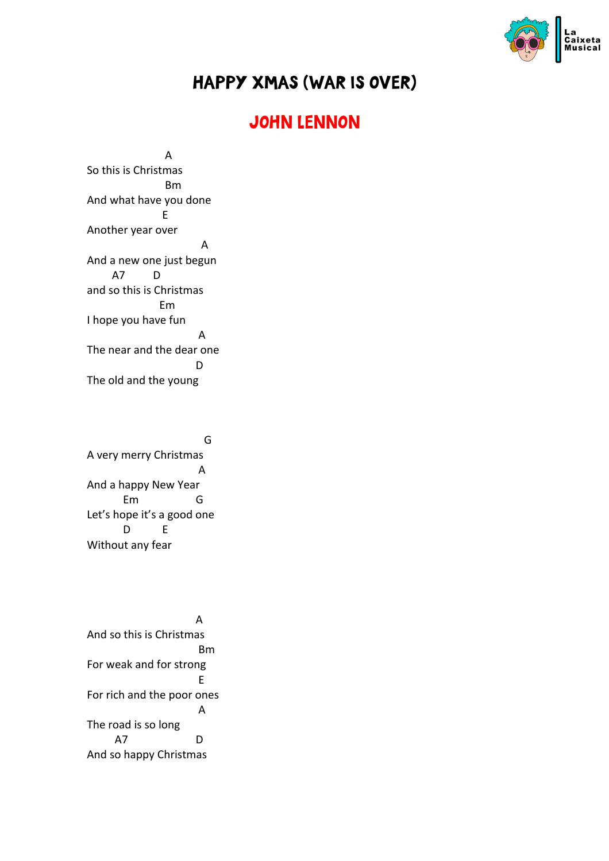

## HAPPY XMAS (WAR IS OVER)

## JOHN LENNON

 A So this is Christmas Bm And what have you done Experience of Experience E Another year over A And a new one just begun A7 D and so this is Christmas Em I hope you have fun A The near and the dear one **District of the Contract District O** The old and the young

**Graduate Contract Contract Contract Contract Contract Contract Contract Contract Contract Contract Contract Co** A very merry Christmas A And a happy New Year Em G Let's hope it's a good one D E Without any fear

 A And so this is Christmas **Bm** Book and the Book and the Book For weak and for strong Experience of the Contract of the E For rich and the poor ones A The road is so long A7 D And so happy Christmas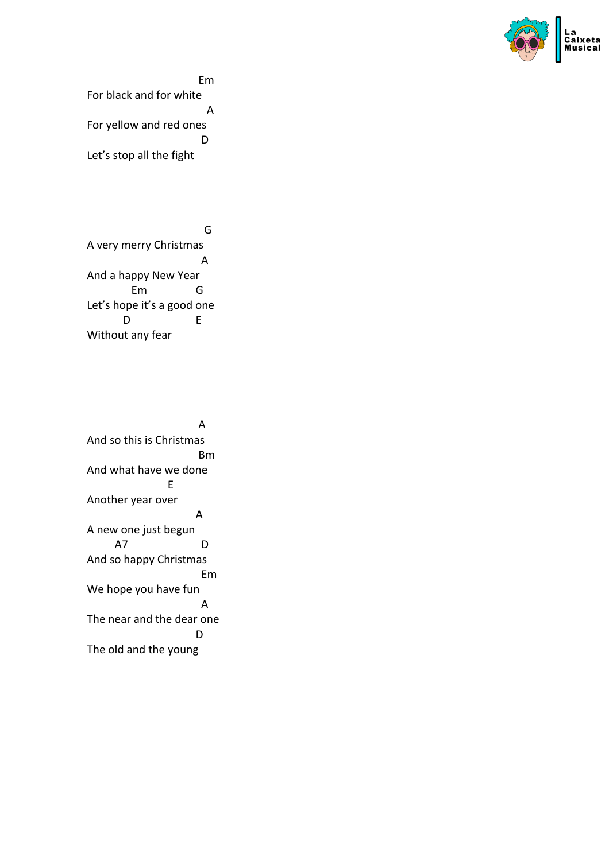

Em For black and for white **A** For yellow and red ones **District of the Contract District O** Let's stop all the fight

**Graduate Contract Contract Contract Contract Contract Contract Contract Contract Contract Contract Contract Co** A very merry Christmas A And a happy New Year Em G Let's hope it's a good one D E Without any fear

 A And so this is Christmas Bm And what have we done Experience of the E Another year over A A new one just begun A7 D And so happy Christmas Em We hope you have fun A The near and the dear one **District of the Contract District O** The old and the young